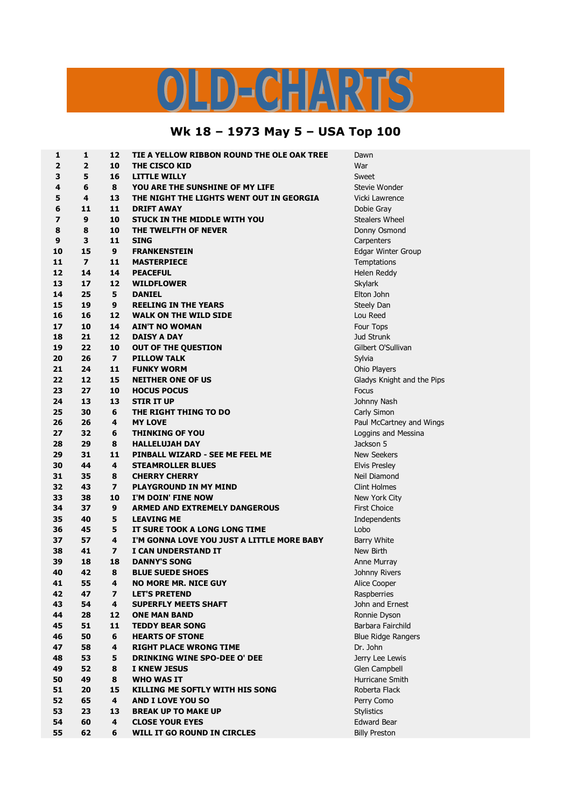## OLD-CHARTS

## **Wk 18 – 1973 May 5 – USA Top 100**

| 1            | 1              | 12                      | TIE A YELLOW RIBBON ROUND THE OLE OAK TREE | Dawn                       |
|--------------|----------------|-------------------------|--------------------------------------------|----------------------------|
| $\mathbf{2}$ | $\mathbf{2}$   | 10                      | <b>THE CISCO KID</b>                       | War                        |
| 3            | 5              | 16                      | <b>LITTLE WILLY</b>                        | Sweet                      |
| 4            | 6              | 8                       | YOU ARE THE SUNSHINE OF MY LIFE            | Stevie Wonder              |
| 5            | 4              | 13                      | THE NIGHT THE LIGHTS WENT OUT IN GEORGIA   | Vicki Lawrence             |
| 6            | 11             | 11                      | <b>DRIFT AWAY</b>                          | Dobie Gray                 |
| 7            | 9              | 10                      | STUCK IN THE MIDDLE WITH YOU               | <b>Stealers Wheel</b>      |
| 8            | 8              | 10                      | THE TWELFTH OF NEVER                       | Donny Osmond               |
| 9            | 3              | 11                      | <b>SING</b>                                | Carpenters                 |
| 10           | 15             | 9                       | <b>FRANKENSTEIN</b>                        | Edgar Winter Group         |
| 11           | $\overline{7}$ | 11                      | <b>MASTERPIECE</b>                         | Temptations                |
| 12           | 14             | 14                      | <b>PEACEFUL</b>                            | Helen Reddy                |
| 13           | 17             | 12                      | <b>WILDFLOWER</b>                          | Skylark                    |
| 14           | 25             | 5                       | <b>DANIEL</b>                              | Elton John                 |
| 15           | 19             | 9                       | <b>REELING IN THE YEARS</b>                | Steely Dan                 |
| 16           | 16             | 12                      | <b>WALK ON THE WILD SIDE</b>               | Lou Reed                   |
| 17           | 10             | 14                      | <b>AIN'T NO WOMAN</b>                      | Four Tops                  |
| 18           | 21             | 12                      | <b>DAISY A DAY</b>                         | Jud Strunk                 |
| 19           | 22             | 10                      | <b>OUT OF THE QUESTION</b>                 | Gilbert O'Sullivan         |
| 20           | 26             | $\overline{ }$          | <b>PILLOW TALK</b>                         | Sylvia                     |
| 21           | 24             | 11                      | <b>FUNKY WORM</b>                          | Ohio Players               |
| 22           | 12             | 15                      | <b>NEITHER ONE OF US</b>                   | Gladys Knight and the Pips |
| 23           | 27             | 10                      | <b>HOCUS POCUS</b>                         | Focus                      |
| 24           | 13             | 13                      | <b>STIR IT UP</b>                          | Johnny Nash                |
| 25           | 30             | 6                       | THE RIGHT THING TO DO                      | Carly Simon                |
| 26           | 26             | 4                       | <b>MY LOVE</b>                             | Paul McCartney and Wings   |
| 27           | 32             | 6                       | <b>THINKING OF YOU</b>                     | Loggins and Messina        |
| 28           | 29             | 8                       | <b>HALLELUJAH DAY</b>                      | Jackson 5                  |
| 29           | 31             | 11                      | PINBALL WIZARD - SEE ME FEEL ME            | <b>New Seekers</b>         |
| 30           | 44             | 4                       | <b>STEAMROLLER BLUES</b>                   | Elvis Presley              |
| 31           | 35             | 8                       | <b>CHERRY CHERRY</b>                       | Neil Diamond               |
| 32           | 43             | $\overline{ }$          | <b>PLAYGROUND IN MY MIND</b>               | <b>Clint Holmes</b>        |
| 33           | 38             | 10                      | I'M DOIN' FINE NOW                         | New York City              |
| 34           | 37             | 9                       | <b>ARMED AND EXTREMELY DANGEROUS</b>       | <b>First Choice</b>        |
| 35           | 40             | 5                       | <b>LEAVING ME</b>                          | Independents               |
| 36           | 45             | 5                       | IT SURE TOOK A LONG LONG TIME              | Lobo                       |
| 37           | 57             | 4                       | I'M GONNA LOVE YOU JUST A LITTLE MORE BABY | Barry White                |
| 38           | 41             | 7                       | I CAN UNDERSTAND IT                        | New Birth                  |
| 39           | 18             | 18                      | <b>DANNY'S SONG</b>                        | Anne Murray                |
| 40           | 42             | 8                       | <b>BLUE SUEDE SHOES</b>                    | Johnny Rivers              |
| 41           | 55             | 4                       | <b>NO MORE MR. NICE GUY</b>                | Alice Cooper               |
| 42           | 47             | $\overline{\mathbf{z}}$ | <b>LET'S PRETEND</b>                       | Raspberries                |
| 43           | 54             | 4                       | <b>SUPERFLY MEETS SHAFT</b>                | John and Ernest            |
| 44           | 28             | 12                      | <b>ONE MAN BAND</b>                        | Ronnie Dyson               |
| 45           | 51             | 11                      | <b>TEDDY BEAR SONG</b>                     | Barbara Fairchild          |
| 46           | 50             | 6                       | <b>HEARTS OF STONE</b>                     | <b>Blue Ridge Rangers</b>  |
| 47           | 58             | 4                       | <b>RIGHT PLACE WRONG TIME</b>              | Dr. John                   |
| 48           | 53             | 5                       | DRINKING WINE SPO-DEE O' DEE               | Jerry Lee Lewis            |
| 49           | 52             | 8                       | <b>I KNEW JESUS</b>                        | Glen Campbell              |
| 50           | 49             | 8                       | <b>WHO WAS IT</b>                          | Hurricane Smith            |
| 51           | 20             | 15                      | <b>KILLING ME SOFTLY WITH HIS SONG</b>     | Roberta Flack              |
| 52           | 65             | 4                       | <b>AND I LOVE YOU SO</b>                   | Perry Como                 |
| 53           | 23             | 13                      | <b>BREAK UP TO MAKE UP</b>                 | <b>Stylistics</b>          |
| 54           | 60             | 4                       | <b>CLOSE YOUR EYES</b>                     | <b>Edward Bear</b>         |
| 55           | 62             | 6                       | WILL IT GO ROUND IN CIRCLES                | <b>Billy Preston</b>       |